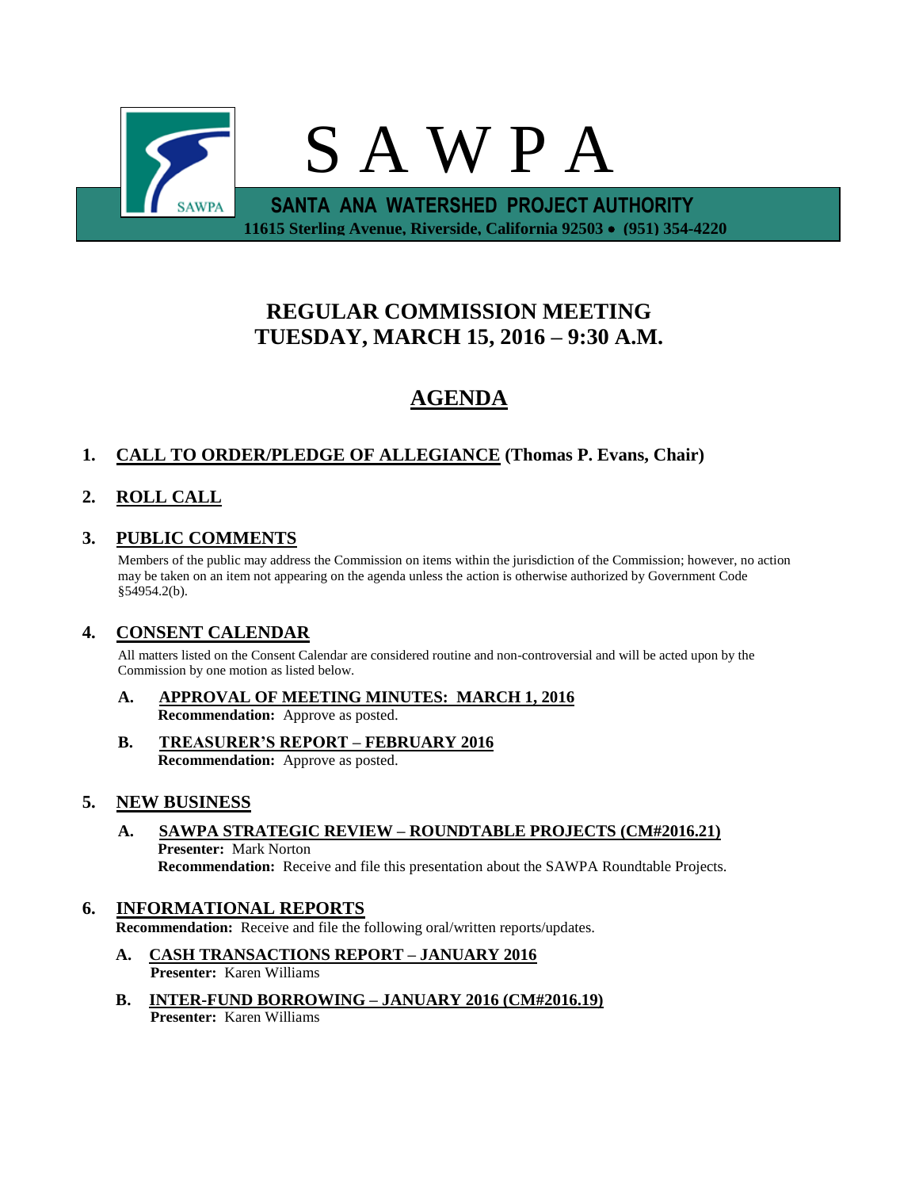

# **REGULAR COMMISSION MEETING TUESDAY, MARCH 15, 2016 – 9:30 A.M.**

# **AGENDA**

## **1. CALL TO ORDER/PLEDGE OF ALLEGIANCE (Thomas P. Evans, Chair)**

## **2. ROLL CALL**

## **3. PUBLIC COMMENTS**

Members of the public may address the Commission on items within the jurisdiction of the Commission; however, no action may be taken on an item not appearing on the agenda unless the action is otherwise authorized by Government Code §54954.2(b).

### **4. CONSENT CALENDAR**

All matters listed on the Consent Calendar are considered routine and non-controversial and will be acted upon by the Commission by one motion as listed below.

- **A. APPROVAL OF MEETING MINUTES: MARCH 1, 2016 Recommendation:** Approve as posted.
- **B. TREASURER'S REPORT – FEBRUARY 2016 Recommendation:** Approve as posted.

#### **5. NEW BUSINESS**

**A. SAWPA STRATEGIC REVIEW – ROUNDTABLE PROJECTS (CM#2016.21) Presenter:** Mark Norton **Recommendation:** Receive and file this presentation about the SAWPA Roundtable Projects.

## **6. INFORMATIONAL REPORTS**

**Recommendation:** Receive and file the following oral/written reports/updates.

- **A. CASH TRANSACTIONS REPORT – JANUARY 2016 Presenter:** Karen Williams
- **B. INTER-FUND BORROWING – JANUARY 2016 (CM#2016.19) Presenter:** Karen Williams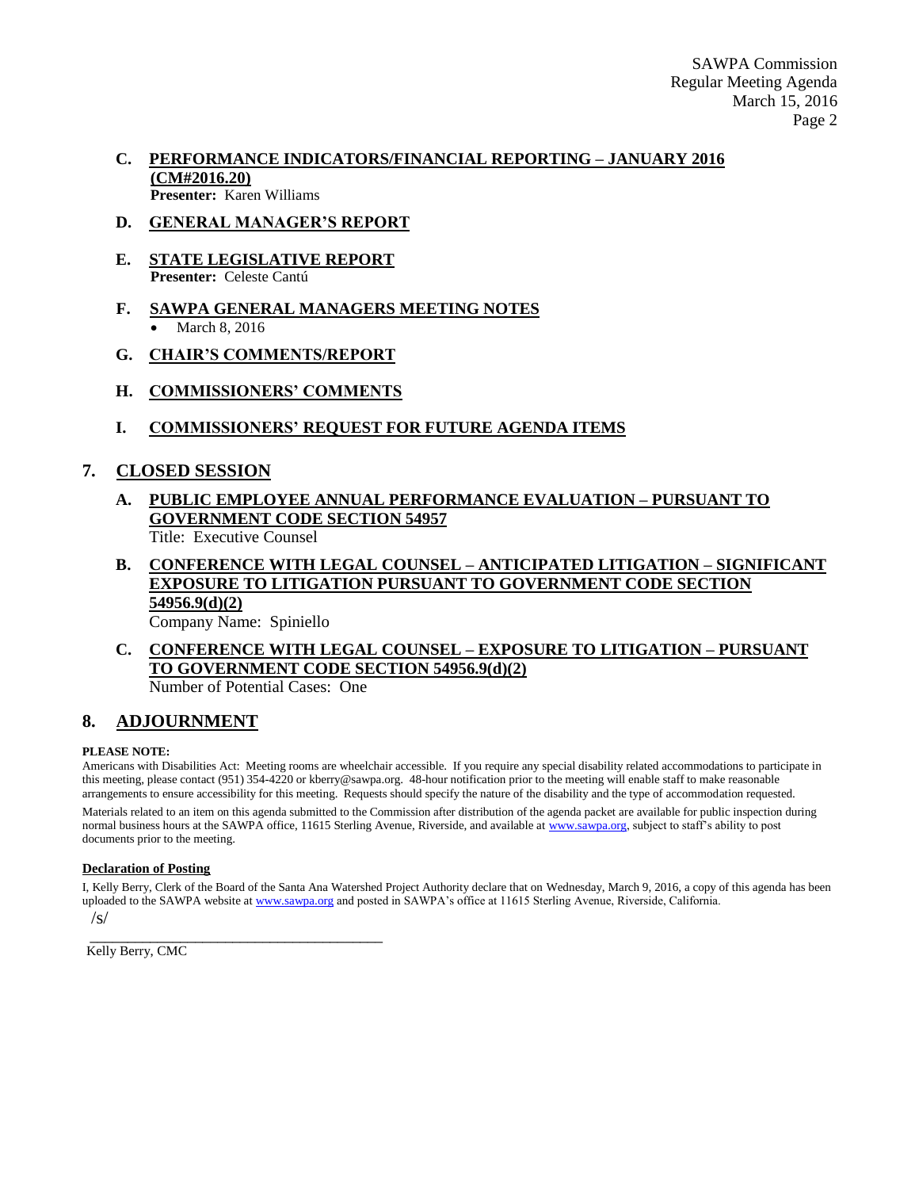SAWPA Commission Regular Meeting Agenda March 15, 2016 Page 2

#### **C. PERFORMANCE INDICATORS/FINANCIAL REPORTING – JANUARY 2016 (CM#2016.20) Presenter:** Karen Williams

#### **D. GENERAL MANAGER'S REPORT**

- **E. STATE LEGISLATIVE REPORT Presenter:** Celeste Cantú
- **F. SAWPA GENERAL MANAGERS MEETING NOTES** March 8, 2016
- **G. CHAIR'S COMMENTS/REPORT**
- **H. COMMISSIONERS' COMMENTS**
- **I. COMMISSIONERS' REQUEST FOR FUTURE AGENDA ITEMS**

#### **7. CLOSED SESSION**

## **A. PUBLIC EMPLOYEE ANNUAL PERFORMANCE EVALUATION – PURSUANT TO GOVERNMENT CODE SECTION 54957**

Title: Executive Counsel

## **B. CONFERENCE WITH LEGAL COUNSEL – ANTICIPATED LITIGATION – SIGNIFICANT EXPOSURE TO LITIGATION PURSUANT TO GOVERNMENT CODE SECTION 54956.9(d)(2)**

Company Name: Spiniello

## **C. CONFERENCE WITH LEGAL COUNSEL – EXPOSURE TO LITIGATION – PURSUANT TO GOVERNMENT CODE SECTION 54956.9(d)(2)**

Number of Potential Cases: One

\_\_\_\_\_\_\_\_\_\_\_\_\_\_\_\_\_\_\_\_\_\_\_\_\_\_\_\_\_\_\_\_\_\_\_\_\_\_\_

#### **8. ADJOURNMENT**

#### **PLEASE NOTE:**

Americans with Disabilities Act: Meeting rooms are wheelchair accessible. If you require any special disability related accommodations to participate in this meeting, please contact (951) 354-4220 or kberry@sawpa.org. 48-hour notification prior to the meeting will enable staff to make reasonable arrangements to ensure accessibility for this meeting. Requests should specify the nature of the disability and the type of accommodation requested.

Materials related to an item on this agenda submitted to the Commission after distribution of the agenda packet are available for public inspection during normal business hours at the SAWPA office, 11615 Sterling Avenue, Riverside, and available a[t www.sawpa.org,](http://www.sawpa.org/) subject to staff's ability to post documents prior to the meeting.

#### **Declaration of Posting**

I, Kelly Berry, Clerk of the Board of the Santa Ana Watershed Project Authority declare that on Wednesday, March 9, 2016, a copy of this agenda has been uploaded to the SAWPA website a[t www.sawpa.org](http://www.sawpa.org/) and posted in SAWPA's office at 11615 Sterling Avenue, Riverside, California.

/s/

Kelly Berry, CMC